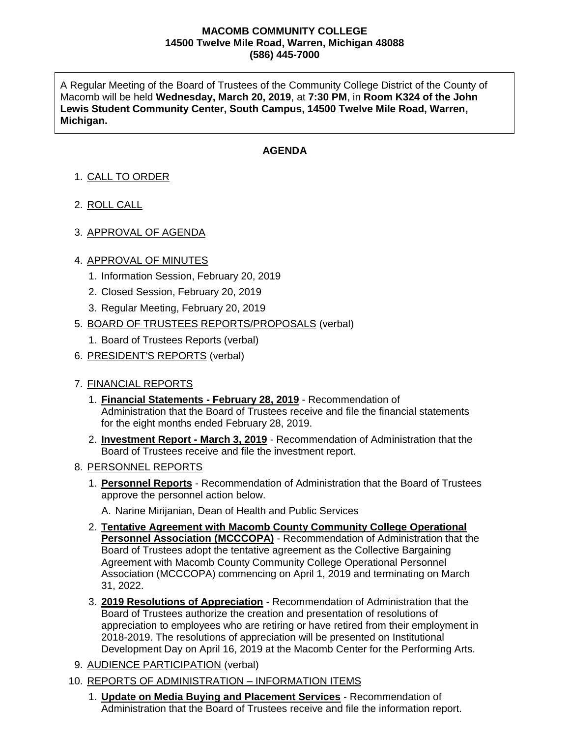#### **MACOMB COMMUNITY COLLEGE 14500 Twelve Mile Road, Warren, Michigan 48088 (586) 445-7000**

A Regular Meeting of the Board of Trustees of the Community College District of the County of Macomb will be held **Wednesday, March 20, 2019**, at **7:30 PM**, in **Room K324 of the John Lewis Student Community Center, South Campus, 14500 Twelve Mile Road, Warren, Michigan.**

### **AGENDA**

# 1. CALL TO ORDER

- 2. ROLL CALL
- 3. APPROVAL OF AGENDA

#### 4. APPROVAL OF MINUTES

- 1. Information Session, February 20, 2019
- 2. Closed Session, February 20, 2019
- 3. Regular Meeting, February 20, 2019
- 5. BOARD OF TRUSTEES REPORTS/PROPOSALS (verbal)
	- 1. Board of Trustees Reports (verbal)
- 6. PRESIDENT'S REPORTS (verbal)

#### 7. FINANCIAL REPORTS

- 1. **Financial Statements - February 28, 2019** Recommendation of Administration that the Board of Trustees receive and file the financial statements for the eight months ended February 28, 2019.
- 2. **Investment Report - March 3, 2019** Recommendation of Administration that the Board of Trustees receive and file the investment report.

#### 8. PERSONNEL REPORTS

- 1. **Personnel Reports** Recommendation of Administration that the Board of Trustees approve the personnel action below.
	- A. Narine Mirijanian, Dean of Health and Public Services
- 2. **Tentative Agreement with Macomb County Community College Operational Personnel Association (MCCCOPA)** - Recommendation of Administration that the Board of Trustees adopt the tentative agreement as the Collective Bargaining Agreement with Macomb County Community College Operational Personnel Association (MCCCOPA) commencing on April 1, 2019 and terminating on March 31, 2022.
- 3. **2019 Resolutions of Appreciation** Recommendation of Administration that the Board of Trustees authorize the creation and presentation of resolutions of appreciation to employees who are retiring or have retired from their employment in 2018-2019. The resolutions of appreciation will be presented on Institutional Development Day on April 16, 2019 at the Macomb Center for the Performing Arts.
- 9. AUDIENCE PARTICIPATION (verbal)
- 10. REPORTS OF ADMINISTRATION INFORMATION ITEMS
	- 1. **Update on Media Buying and Placement Services** Recommendation of Administration that the Board of Trustees receive and file the information report.